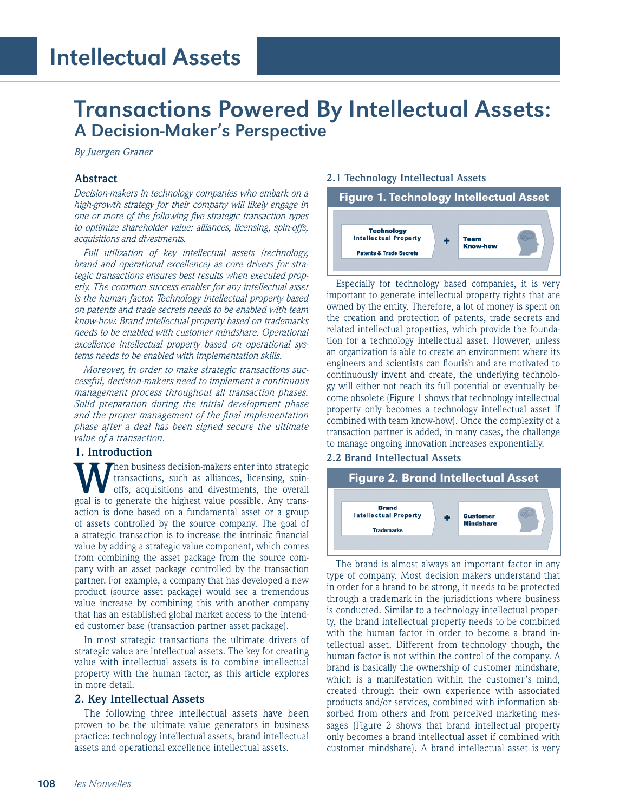# Transactions Powered By Intellectual Assets: A Decision-Maker's Perspective

*By Juergen Graner*

# **Abstract**

*Decision-makers in technology companies who embark on a high-growth strategy for their company will likely engage in one or more of the following five strategic transaction types to optimize shareholder value: alliances, licensing, spin-offs, acquisitions and divestments.* 

*Full utilization of key intellectual assets (technology, brand and operational excellence) as core drivers for strategic transactions ensures best results when executed properly. The common success enabler for any intellectual asset is the human factor. Technology intellectual property based on patents and trade secrets needs to be enabled with team know-how. Brand intellectual property based on trademarks needs to be enabled with customer mindshare. Operational excellence intellectual property based on operational systems needs to be enabled with implementation skills.*

*Moreover, in order to make strategic transactions successful, decision-makers need to implement a continuous management process throughout all transaction phases. Solid preparation during the initial development phase and the proper management of the final implementation phase after a deal has been signed secure the ultimate value of a transaction.*

# **1. Introduction**

**When business decision-makers enter into strategic** transactions, such as alliances, licensing, spinoffs, acquisitions and divestments, the overall goal is to generate the highest value possible. Any transaction is done based on a fundamental asset or a group of assets controlled by the source company. The goal of a strategic transaction is to increase the intrinsic financial value by adding a strategic value component, which comes from combining the asset package from the source company with an asset package controlled by the transaction partner. For example, a company that has developed a new product (source asset package) would see a tremendous value increase by combining this with another company that has an established global market access to the intended customer base (transaction partner asset package).

In most strategic transactions the ultimate drivers of strategic value are intellectual assets. The key for creating value with intellectual assets is to combine intellectual property with the human factor, as this article explores in more detail.

# **2. Key Intellectual Assets**

The following three intellectual assets have been proven to be the ultimate value generators in business practice: technology intellectual assets, brand intellectual assets and operational excellence intellectual assets.

#### **2.1 Technology Intellectual Assets**



Especially for technology based companies, it is very important to generate intellectual property rights that are owned by the entity. Therefore, a lot of money is spent on the creation and protection of patents, trade secrets and related intellectual properties, which provide the foundation for a technology intellectual asset. However, unless an organization is able to create an environment where its engineers and scientists can flourish and are motivated to continuously invent and create, the underlying technology will either not reach its full potential or eventually become obsolete (Figure 1 shows that technology intellectual property only becomes a technology intellectual asset if combined with team know-how). Once the complexity of a transaction partner is added, in many cases, the challenge to manage ongoing innovation increases exponentially.

# **2.2 Brand Intellectual Assets**



The brand is almost always an important factor in any type of company. Most decision makers understand that in order for a brand to be strong, it needs to be protected through a trademark in the jurisdictions where business is conducted. Similar to a technology intellectual property, the brand intellectual property needs to be combined with the human factor in order to become a brand intellectual asset. Different from technology though, the human factor is not within the control of the company. A brand is basically the ownership of customer mindshare, which is a manifestation within the customer's mind, created through their own experience with associated products and/or services, combined with information absorbed from others and from perceived marketing messages (Figure 2 shows that brand intellectual property only becomes a brand intellectual asset if combined with customer mindshare). A brand intellectual asset is very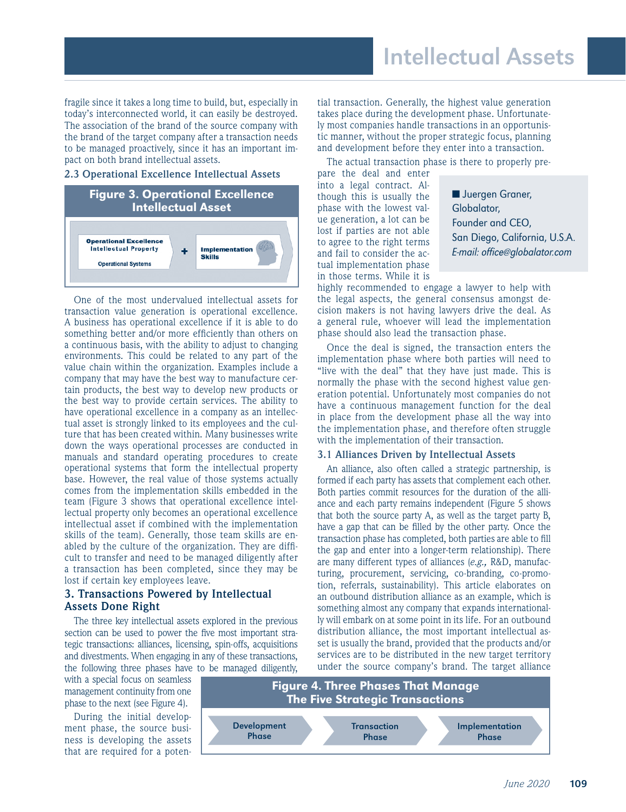# Intellectual Assets

fragile since it takes a long time to build, but, especially in today's interconnected world, it can easily be destroyed. The association of the brand of the source company with the brand of the target company after a transaction needs to be managed proactively, since it has an important impact on both brand intellectual assets.

#### **2.3 Operational Excellence Intellectual Assets**



One of the most undervalued intellectual assets for transaction value generation is operational excellence. A business has operational excellence if it is able to do something better and/or more efficiently than others on a continuous basis, with the ability to adjust to changing environments. This could be related to any part of the value chain within the organization. Examples include a company that may have the best way to manufacture certain products, the best way to develop new products or the best way to provide certain services. The ability to have operational excellence in a company as an intellectual asset is strongly linked to its employees and the culture that has been created within. Many businesses write down the ways operational processes are conducted in manuals and standard operating procedures to create operational systems that form the intellectual property base. However, the real value of those systems actually comes from the implementation skills embedded in the team (Figure 3 shows that operational excellence intellectual property only becomes an operational excellence intellectual asset if combined with the implementation skills of the team). Generally, those team skills are enabled by the culture of the organization. They are difficult to transfer and need to be managed diligently after a transaction has been completed, since they may be lost if certain key employees leave.

# **3. Transactions Powered by Intellectual Assets Done Right**

The three key intellectual assets explored in the previous section can be used to power the five most important strategic transactions: alliances, licensing, spin-offs, acquisitions and divestments. When engaging in any of these transactions, the following three phases have to be managed diligently,

with a special focus on seamless management continuity from one phase to the next (see Figure 4).

During the initial development phase, the source business is developing the assets that are required for a potential transaction. Generally, the highest value generation takes place during the development phase. Unfortunately most companies handle transactions in an opportunistic manner, without the proper strategic focus, planning and development before they enter into a transaction.

The actual transaction phase is there to properly pre-

pare the deal and enter into a legal contract. Although this is usually the phase with the lowest value generation, a lot can be lost if parties are not able to agree to the right terms and fail to consider the actual implementation phase in those terms. While it is

■ Juergen Graner, Globalator, Founder and CEO, San Diego, California, U.S.A. E-mail: office@globalator.com

highly recommended to engage a lawyer to help with the legal aspects, the general consensus amongst decision makers is not having lawyers drive the deal. As a general rule, whoever will lead the implementation phase should also lead the transaction phase.

Once the deal is signed, the transaction enters the implementation phase where both parties will need to "live with the deal" that they have just made. This is normally the phase with the second highest value generation potential. Unfortunately most companies do not have a continuous management function for the deal in place from the development phase all the way into the implementation phase, and therefore often struggle with the implementation of their transaction.

#### **3.1 Alliances Driven by Intellectual Assets**

An alliance, also often called a strategic partnership, is formed if each party has assets that complement each other. Both parties commit resources for the duration of the alliance and each party remains independent (Figure 5 shows that both the source party A, as well as the target party B, have a gap that can be filled by the other party. Once the transaction phase has completed, both parties are able to fill the gap and enter into a longer-term relationship). There are many different types of alliances (*e.g.,* R&D, manufacturing, procurement, servicing, co-branding, co-promotion, referrals, sustainability). This article elaborates on an outbound distribution alliance as an example, which is something almost any company that expands internationally will embark on at some point in its life. For an outbound distribution alliance, the most important intellectual asset is usually the brand, provided that the products and/or services are to be distributed in the new target territory under the source company's brand. The target alliance

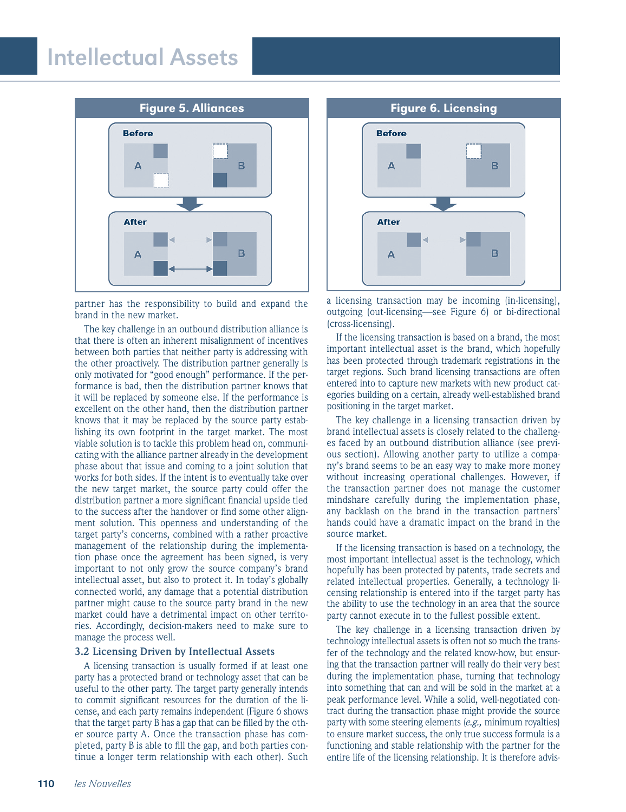# Intellectual Assets



partner has the responsibility to build and expand the brand in the new market.

The key challenge in an outbound distribution alliance is that there is often an inherent misalignment of incentives between both parties that neither party is addressing with the other proactively. The distribution partner generally is only motivated for "good enough" performance. If the performance is bad, then the distribution partner knows that it will be replaced by someone else. If the performance is excellent on the other hand, then the distribution partner knows that it may be replaced by the source party establishing its own footprint in the target market. The most viable solution is to tackle this problem head on, communicating with the alliance partner already in the development phase about that issue and coming to a joint solution that works for both sides. If the intent is to eventually take over the new target market, the source party could offer the distribution partner a more significant financial upside tied to the success after the handover or find some other alignment solution. This openness and understanding of the target party's concerns, combined with a rather proactive management of the relationship during the implementation phase once the agreement has been signed, is very important to not only grow the source company's brand intellectual asset, but also to protect it. In today's globally connected world, any damage that a potential distribution partner might cause to the source party brand in the new market could have a detrimental impact on other territories. Accordingly, decision-makers need to make sure to manage the process well.

#### **3.2 Licensing Driven by Intellectual Assets**

A licensing transaction is usually formed if at least one party has a protected brand or technology asset that can be useful to the other party. The target party generally intends to commit significant resources for the duration of the license, and each party remains independent (Figure 6 shows that the target party B has a gap that can be filled by the other source party A. Once the transaction phase has completed, party B is able to fill the gap, and both parties continue a longer term relationship with each other). Such



a licensing transaction may be incoming (in-licensing), outgoing (out-licensing—see Figure 6) or bi-directional (cross-licensing).

If the licensing transaction is based on a brand, the most important intellectual asset is the brand, which hopefully has been protected through trademark registrations in the target regions. Such brand licensing transactions are often entered into to capture new markets with new product categories building on a certain, already well-established brand positioning in the target market.

The key challenge in a licensing transaction driven by brand intellectual assets is closely related to the challenges faced by an outbound distribution alliance (see previous section). Allowing another party to utilize a company's brand seems to be an easy way to make more money without increasing operational challenges. However, if the transaction partner does not manage the customer mindshare carefully during the implementation phase, any backlash on the brand in the transaction partners' hands could have a dramatic impact on the brand in the source market.

If the licensing transaction is based on a technology, the most important intellectual asset is the technology, which hopefully has been protected by patents, trade secrets and related intellectual properties. Generally, a technology licensing relationship is entered into if the target party has the ability to use the technology in an area that the source party cannot execute in to the fullest possible extent.

The key challenge in a licensing transaction driven by technology intellectual assets is often not so much the transfer of the technology and the related know-how, but ensuring that the transaction partner will really do their very best during the implementation phase, turning that technology into something that can and will be sold in the market at a peak performance level. While a solid, well-negotiated contract during the transaction phase might provide the source party with some steering elements (*e.g.,* minimum royalties) to ensure market success, the only true success formula is a functioning and stable relationship with the partner for the entire life of the licensing relationship. It is therefore advis-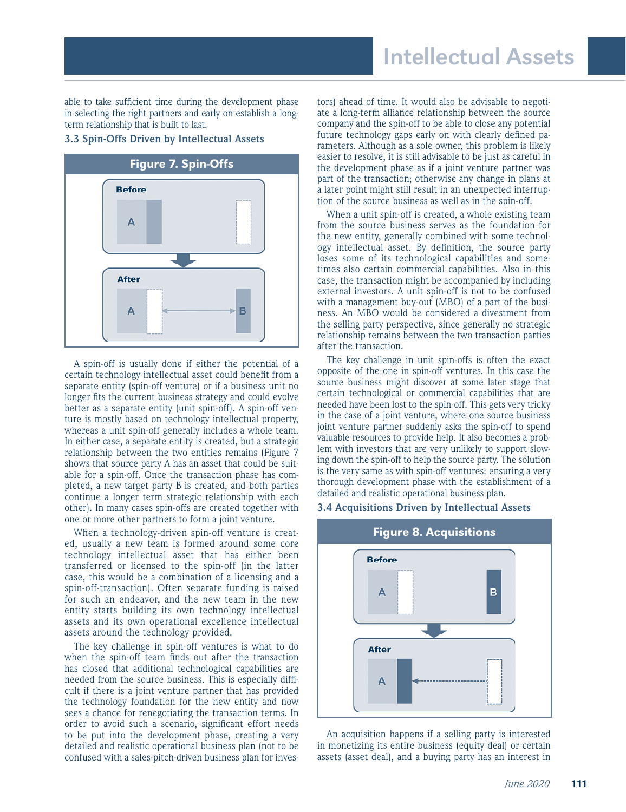# Intellectual Assets

able to take sufficient time during the development phase in selecting the right partners and early on establish a longterm relationship that is built to last.

### **3.3 Spin-Offs Driven by Intellectual Assets**



A spin-off is usually done if either the potential of a certain technology intellectual asset could benefit from a separate entity (spin-off venture) or if a business unit no longer fits the current business strategy and could evolve better as a separate entity (unit spin-off). A spin-off venture is mostly based on technology intellectual property, whereas a unit spin-off generally includes a whole team. In either case, a separate entity is created, but a strategic relationship between the two entities remains (Figure 7 shows that source party A has an asset that could be suitable for a spin-off. Once the transaction phase has completed, a new target party B is created, and both parties continue a longer term strategic relationship with each other). In many cases spin-offs are created together with one or more other partners to form a joint venture.

When a technology-driven spin-off venture is created, usually a new team is formed around some core technology intellectual asset that has either been transferred or licensed to the spin-off (in the latter case, this would be a combination of a licensing and a spin-off-transaction). Often separate funding is raised for such an endeavor, and the new team in the new entity starts building its own technology intellectual assets and its own operational excellence intellectual assets around the technology provided.

The key challenge in spin-off ventures is what to do when the spin-off team finds out after the transaction has closed that additional technological capabilities are needed from the source business. This is especially difficult if there is a joint venture partner that has provided the technology foundation for the new entity and now sees a chance for renegotiating the transaction terms. In order to avoid such a scenario, significant effort needs to be put into the development phase, creating a very detailed and realistic operational business plan (not to be confused with a sales-pitch-driven business plan for investors) ahead of time. It would also be advisable to negotiate a long-term alliance relationship between the source company and the spin-off to be able to close any potential future technology gaps early on with clearly defined parameters. Although as a sole owner, this problem is likely easier to resolve, it is still advisable to be just as careful in the development phase as if a joint venture partner was part of the transaction; otherwise any change in plans at a later point might still result in an unexpected interruption of the source business as well as in the spin-off.

When a unit spin-off is created, a whole existing team from the source business serves as the foundation for the new entity, generally combined with some technology intellectual asset. By definition, the source party loses some of its technological capabilities and sometimes also certain commercial capabilities. Also in this case, the transaction might be accompanied by including external investors. A unit spin-off is not to be confused with a management buy-out (MBO) of a part of the business. An MBO would be considered a divestment from the selling party perspective, since generally no strategic relationship remains between the two transaction parties after the transaction.

The key challenge in unit spin-offs is often the exact opposite of the one in spin-off ventures. In this case the source business might discover at some later stage that certain technological or commercial capabilities that are needed have been lost to the spin-off. This gets very tricky in the case of a joint venture, where one source business joint venture partner suddenly asks the spin-off to spend valuable resources to provide help. It also becomes a problem with investors that are very unlikely to support slowing down the spin-off to help the source party. The solution is the very same as with spin-off ventures: ensuring a very thorough development phase with the establishment of a detailed and realistic operational business plan.

# **3.4 Acquisitions Driven by Intellectual Assets**



An acquisition happens if a selling party is interested in monetizing its entire business (equity deal) or certain assets (asset deal), and a buying party has an interest in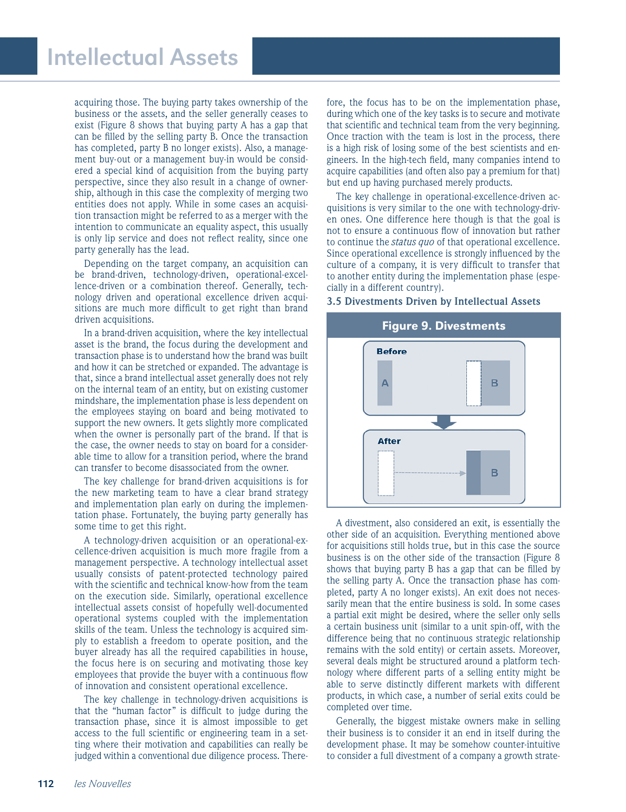acquiring those. The buying party takes ownership of the business or the assets, and the seller generally ceases to exist (Figure 8 shows that buying party A has a gap that can be filled by the selling party B. Once the transaction has completed, party B no longer exists). Also, a management buy-out or a management buy-in would be considered a special kind of acquisition from the buying party perspective, since they also result in a change of ownership, although in this case the complexity of merging two entities does not apply. While in some cases an acquisition transaction might be referred to as a merger with the intention to communicate an equality aspect, this usually is only lip service and does not reflect reality, since one party generally has the lead.

Depending on the target company, an acquisition can be brand-driven, technology-driven, operational-excellence-driven or a combination thereof. Generally, technology driven and operational excellence driven acquisitions are much more difficult to get right than brand driven acquisitions.

In a brand-driven acquisition, where the key intellectual asset is the brand, the focus during the development and transaction phase is to understand how the brand was built and how it can be stretched or expanded. The advantage is that, since a brand intellectual asset generally does not rely on the internal team of an entity, but on existing customer mindshare, the implementation phase is less dependent on the employees staying on board and being motivated to support the new owners. It gets slightly more complicated when the owner is personally part of the brand. If that is the case, the owner needs to stay on board for a considerable time to allow for a transition period, where the brand can transfer to become disassociated from the owner.

The key challenge for brand-driven acquisitions is for the new marketing team to have a clear brand strategy and implementation plan early on during the implementation phase. Fortunately, the buying party generally has some time to get this right.

A technology-driven acquisition or an operational-excellence-driven acquisition is much more fragile from a management perspective. A technology intellectual asset usually consists of patent-protected technology paired with the scientific and technical know-how from the team on the execution side. Similarly, operational excellence intellectual assets consist of hopefully well-documented operational systems coupled with the implementation skills of the team. Unless the technology is acquired simply to establish a freedom to operate position, and the buyer already has all the required capabilities in house, the focus here is on securing and motivating those key employees that provide the buyer with a continuous flow of innovation and consistent operational excellence.

The key challenge in technology-driven acquisitions is that the "human factor" is difficult to judge during the transaction phase, since it is almost impossible to get access to the full scientific or engineering team in a setting where their motivation and capabilities can really be judged within a conventional due diligence process. There-

fore, the focus has to be on the implementation phase, during which one of the key tasks is to secure and motivate that scientific and technical team from the very beginning. Once traction with the team is lost in the process, there is a high risk of losing some of the best scientists and engineers. In the high-tech field, many companies intend to acquire capabilities (and often also pay a premium for that) but end up having purchased merely products.

The key challenge in operational-excellence-driven acquisitions is very similar to the one with technology-driven ones. One difference here though is that the goal is not to ensure a continuous flow of innovation but rather to continue the *status quo* of that operational excellence. Since operational excellence is strongly influenced by the culture of a company, it is very difficult to transfer that to another entity during the implementation phase (especially in a different country).

#### **3.5 Divestments Driven by Intellectual Assets**



A divestment, also considered an exit, is essentially the other side of an acquisition. Everything mentioned above for acquisitions still holds true, but in this case the source business is on the other side of the transaction (Figure 8 shows that buying party B has a gap that can be filled by the selling party A. Once the transaction phase has completed, party A no longer exists). An exit does not necessarily mean that the entire business is sold. In some cases a partial exit might be desired, where the seller only sells a certain business unit (similar to a unit spin-off, with the difference being that no continuous strategic relationship remains with the sold entity) or certain assets. Moreover, several deals might be structured around a platform technology where different parts of a selling entity might be able to serve distinctly different markets with different products, in which case, a number of serial exits could be completed over time.

Generally, the biggest mistake owners make in selling their business is to consider it an end in itself during the development phase. It may be somehow counter-intuitive to consider a full divestment of a company a growth strate